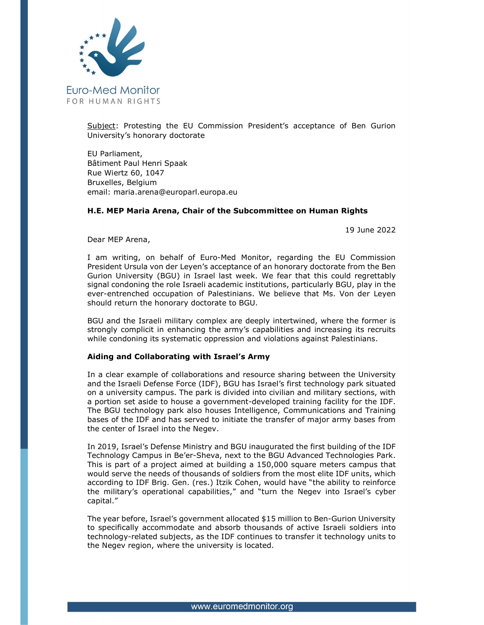

Subject: Protesting the EU Commission President's acceptance of Ben Gurion University's honorary doctorate

EU Parliament, Bâtiment Paul Henri Spaak Rue Wiertz 60, 1047 Bruxelles, Belgium email: maria.arena@europarl.europa.eu

## H.E. MEP Maria Arena, Chair of the Subcommittee on Human Rights

19 June 2022

Dear MEP Arena,

I am writing, on behalf of Euro-Med Monitor, regarding the EU Commission President Ursula von der Leyen's acceptance of an honorary doctorate from the Ben Gurion University (BGU) in Israel last week. We fear that this could regrettably signal condoning the role Israeli academic institutions, particularly BGU, play in the ever-entrenched occupation of Palestinians. We believe that Ms. Von der Leyen should return the honorary doctorate to BGU.

BGU and the Israeli military complex are deeply intertwined, where the former is strongly complicit in enhancing the army's capabilities and increasing its recruits while condoning its systematic oppression and violations against Palestinians.

## Aiding and Collaborating with Israel's Army

In a clear example of collaborations and resource sharing between the University and the Israeli Defense Force (IDF), BGU has Israel's first technology park situated on a university campus. The park is divided into civilian and military sections, with a portion set aside to house a government-developed training facility for the IDF. The BGU technology park also houses Intelligence, Communications and Training bases of the IDF and has served to initiate the transfer of major army bases from the center of Israel into the Negev.

In 2019, Israel's Defense Ministry and BGU inaugurated the first building of the IDF Technology Campus in Be'er-Sheva, next to the BGU Advanced Technologies Park. This is part of a project aimed at building a 150,000 square meters campus that would serve the needs of thousands of soldiers from the most elite IDF units, which according to IDF Brig. Gen. (res.) Itzik Cohen, would have "the ability to reinforce the military's operational capabilities," and "turn the Negev into Israel's cyber capital."

The year before, Israel's government allocated \$15 million to Ben-Gurion University to specifically accommodate and absorb thousands of active Israeli soldiers into technology-related subjects, as the IDF continues to transfer it technology units to the Negev region, where the university is located.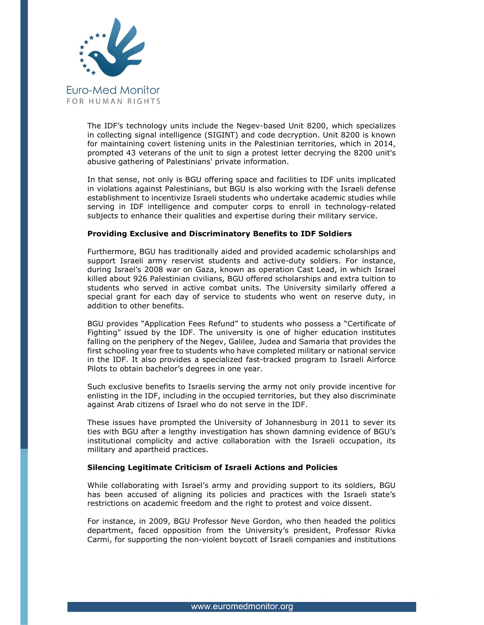

The IDF's technology units include the Negev-based Unit 8200, which specializes in collecting signal intelligence (SIGINT) and code decryption. Unit 8200 is known for maintaining covert listening units in the Palestinian territories, which in 2014, prompted 43 veterans of the unit to sign a protest letter decrying the 8200 unit's abusive gathering of Palestinians' private information.

In that sense, not only is BGU offering space and facilities to IDF units implicated in violations against Palestinians, but BGU is also working with the Israeli defense establishment to incentivize Israeli students who undertake academic studies while serving in IDF intelligence and computer corps to enroll in technology-related subjects to enhance their qualities and expertise during their military service.

## Providing Exclusive and Discriminatory Benefits to IDF Soldiers

Furthermore, BGU has traditionally aided and provided academic scholarships and support Israeli army reservist students and active-duty soldiers. For instance, during Israel's 2008 war on Gaza, known as operation Cast Lead, in which Israel killed about 926 Palestinian civilians, BGU offered scholarships and extra tuition to students who served in active combat units. The University similarly offered a special grant for each day of service to students who went on reserve duty, in addition to other benefits.

BGU provides "Application Fees Refund" to students who possess a "Certificate of Fighting" issued by the IDF. The university is one of higher education institutes falling on the periphery of the Negev, Galilee, Judea and Samaria that provides the first schooling year free to students who have completed military or national service in the IDF. It also provides a specialized fast-tracked program to Israeli Airforce Pilots to obtain bachelor's degrees in one year.

Such exclusive benefits to Israelis serving the army not only provide incentive for enlisting in the IDF, including in the occupied territories, but they also discriminate against Arab citizens of Israel who do not serve in the IDF.

These issues have prompted the University of Johannesburg in 2011 to sever its ties with BGU after a lengthy investigation has shown damning evidence of BGU's institutional complicity and active collaboration with the Israeli occupation, its military and apartheid practices.

## Silencing Legitimate Criticism of Israeli Actions and Policies

While collaborating with Israel's army and providing support to its soldiers, BGU has been accused of aligning its policies and practices with the Israeli state's restrictions on academic freedom and the right to protest and voice dissent.

For instance, in 2009, BGU Professor Neve Gordon, who then headed the politics department, faced opposition from the University's president, Professor Rivka Carmi, for supporting the non-violent boycott of Israeli companies and institutions